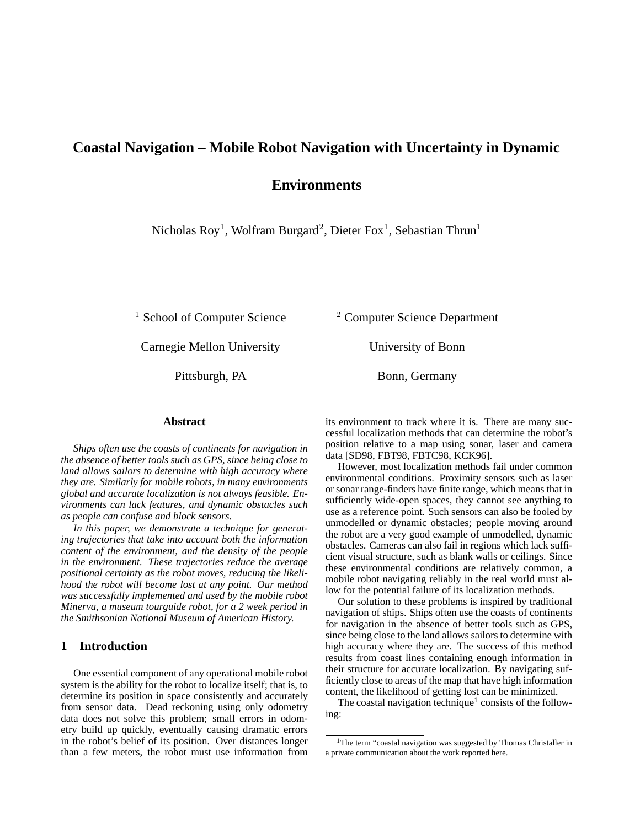# **Coastal Navigation – Mobile Robot Navigation with Uncertainty in Dynamic**

# **Environments**

Nicholas Roy<sup>1</sup>, Wolfram Burgard<sup>2</sup>, Dieter Fox<sup>1</sup>, Sebastian Thrun<sup>1</sup>

Carnegie Mellon University University of Bonn

Pittsburgh, PA Bonn, Germany

<sup>1</sup> School of Computer Science  $\frac{2 \text{ Computer Science}}{2 \text{ Computer Science}}$ 

#### **Abstract**

*Ships often use the coasts of continents for navigation in the absence of better tools such as GPS, since being close to land allows sailors to determine with high accuracy where they are. Similarly for mobile robots, in many environments global and accurate localization is not always feasible. Environments can lack features, and dynamic obstacles such as people can confuse and block sensors.*

*In this paper, we demonstrate a technique for generating trajectories that take into account both the information content of the environment, and the density of the people in the environment. These trajectories reduce the average positional certainty as the robot moves, reducing the likelihood the robot will become lost at any point. Our method was successfully implemented and used by the mobile robot Minerva, a museum tourguide robot, for a 2 week period in the Smithsonian National Museum of American History.*

# **1 Introduction**

One essential component of any operational mobile robot system is the ability for the robot to localize itself; that is, to determine its position in space consistently and accurately from sensor data. Dead reckoning using only odometry data does not solve this problem; small errors in odometry build up quickly, eventually causing dramatic errors in the robot's belief of its position. Over distances longer than a few meters, the robot must use information from

its environment to track where it is. There are many successful localization methods that can determine the robot's position relative to a map using sonar, laser and camera data [SD98, FBT98, FBTC98, KCK96].

However, most localization methods fail under common environmental conditions. Proximity sensors such as laser or sonar range-finders have finite range, which means that in sufficiently wide-open spaces, they cannot see anything to use as a reference point. Such sensors can also be fooled by unmodelled or dynamic obstacles; people moving around the robot are a very good example of unmodelled, dynamic obstacles. Cameras can also fail in regions which lack sufficient visual structure, such as blank walls or ceilings. Since these environmental conditions are relatively common, a mobile robot navigating reliably in the real world must allow for the potential failure of its localization methods.

Our solution to these problems is inspired by traditional navigation of ships. Ships often use the coasts of continents for navigation in the absence of better tools such as GPS, since being close to the land allows sailors to determine with high accuracy where they are. The success of this method results from coast lines containing enough information in their structure for accurate localization. By navigating sufficiently close to areas of the map that have high information content, the likelihood of getting lost can be minimized.

The coastal navigation technique<sup>1</sup> consists of the following:

<sup>&</sup>lt;sup>1</sup>The term "coastal navigation was suggested by Thomas Christaller in a private communication about the work reported here.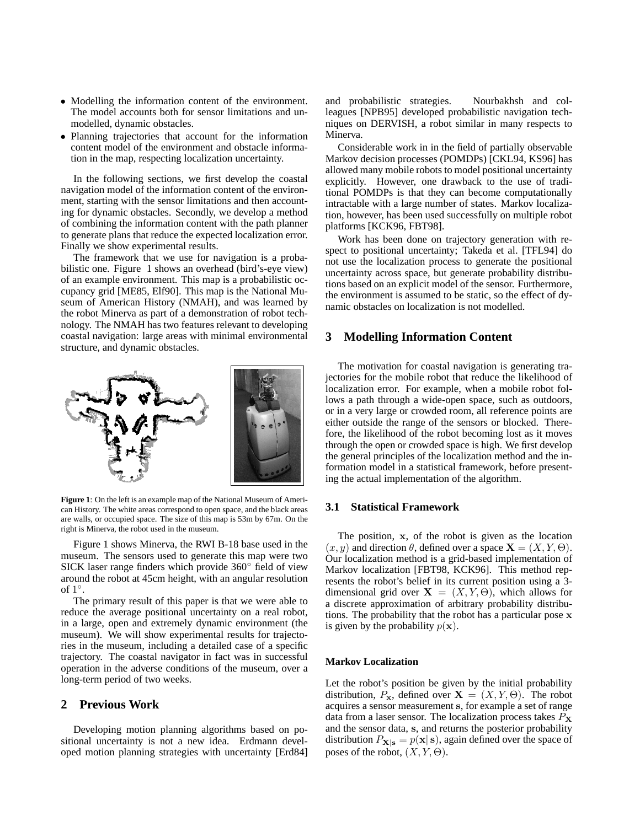- Modelling the information content of the environment. The model accounts both for sensor limitations and unmodelled, dynamic obstacles.
- Planning trajectories that account for the information content model of the environment and obstacle information in the map, respecting localization uncertainty.

In the following sections, we first develop the coastal navigation model of the information content of the environment, starting with the sensor limitations and then accounting for dynamic obstacles. Secondly, we develop a method of combining the information content with the path planner to generate plans that reduce the expected localization error. Finally we show experimental results.

The framework that we use for navigation is a probabilistic one. Figure 1 shows an overhead (bird's-eye view) of an example environment. This map is a probabilistic occupancy grid [ME85, Elf90]. This map is the National Museum of American History (NMAH), and was learned by the robot Minerva as part of a demonstration of robot technology. The NMAH has two features relevant to developing coastal navigation: large areas with minimal environmental structure, and dynamic obstacles.



**Figure 1**: On the left is an example map of the National Museum of American History. The white areas correspond to open space, and the black areas are walls, or occupied space. The size of this map is 53m by 67m. On the right is Minerva, the robot used in the museum.

Figure 1 shows Minerva, the RWI B-18 base used in the museum. The sensors used to generate this map were two SICK laser range finders which provide 360◦ field of view around the robot at 45cm height, with an angular resolution of  $1^{\circ}$ .

The primary result of this paper is that we were able to reduce the average positional uncertainty on a real robot, in a large, open and extremely dynamic environment (the museum). We will show experimental results for trajectories in the museum, including a detailed case of a specific trajectory. The coastal navigator in fact was in successful operation in the adverse conditions of the museum, over a long-term period of two weeks.

### **2 Previous Work**

Developing motion planning algorithms based on positional uncertainty is not a new idea. Erdmann developed motion planning strategies with uncertainty [Erd84] and probabilistic strategies. Nourbakhsh and colleagues [NPB95] developed probabilistic navigation techniques on DERVISH, a robot similar in many respects to Minerva.

Considerable work in in the field of partially observable Markov decision processes (POMDPs) [CKL94, KS96] has allowed many mobile robots to model positional uncertainty explicitly. However, one drawback to the use of traditional POMDPs is that they can become computationally intractable with a large number of states. Markov localization, however, has been used successfully on multiple robot platforms [KCK96, FBT98].

Work has been done on trajectory generation with respect to positional uncertainty; Takeda et al. [TFL94] do not use the localization process to generate the positional uncertainty across space, but generate probability distributions based on an explicit model of the sensor. Furthermore, the environment is assumed to be static, so the effect of dynamic obstacles on localization is not modelled.

# **3 Modelling Information Content**

The motivation for coastal navigation is generating trajectories for the mobile robot that reduce the likelihood of localization error. For example, when a mobile robot follows a path through a wide-open space, such as outdoors, or in a very large or crowded room, all reference points are either outside the range of the sensors or blocked. Therefore, the likelihood of the robot becoming lost as it moves through the open or crowded space is high. We first develop the general principles of the localization method and the information model in a statistical framework, before presenting the actual implementation of the algorithm.

### **3.1 Statistical Framework**

The position,  $x$ , of the robot is given as the location  $(x, y)$  and direction  $\theta$ , defined over a space  $\mathbf{X} = (X, Y, \Theta)$ . Our localization method is a grid-based implementation of Markov localization [FBT98, KCK96]. This method represents the robot's belief in its current position using a 3 dimensional grid over  $X = (X, Y, \Theta)$ , which allows for a discrete approximation of arbitrary probability distributions. The probability that the robot has a particular pose x is given by the probability  $p(\mathbf{x})$ .

#### **Markov Localization**

Let the robot's position be given by the initial probability distribution,  $P_x$ , defined over  $X = (X, Y, \Theta)$ . The robot acquires a sensor measurement s, for example a set of range data from a laser sensor. The localization process takes  $P_X$ and the sensor data, s, and returns the posterior probability distribution  $P_{\mathbf{X}|\mathbf{s}} = p(\mathbf{x}|\mathbf{s})$ , again defined over the space of poses of the robot,  $(X, Y, \Theta)$ .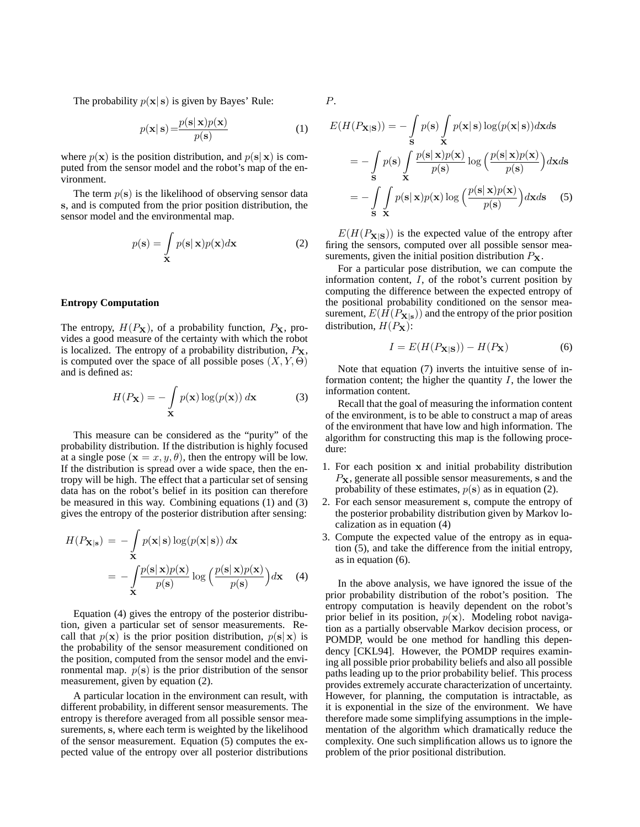The probability  $p(x|s)$  is given by Bayes' Rule:

$$
p(\mathbf{x}|\mathbf{s}) = \frac{p(\mathbf{s}|\mathbf{x})p(\mathbf{x})}{p(\mathbf{s})}
$$
 (1)

where  $p(x)$  is the position distribution, and  $p(s|x)$  is computed from the sensor model and the robot's map of the environment.

The term  $p(s)$  is the likelihood of observing sensor data s, and is computed from the prior position distribution, the sensor model and the environmental map.

$$
p(\mathbf{s}) = \int_{\mathbf{X}} p(\mathbf{s}|\mathbf{x}) p(\mathbf{x}) d\mathbf{x}
$$
 (2)

#### **Entropy Computation**

The entropy,  $H(P_X)$ , of a probability function,  $P_X$ , provides a good measure of the certainty with which the robot is localized. The entropy of a probability distribution,  $P_{\mathbf{X}}$ , is computed over the space of all possible poses  $(X, Y, \Theta)$ and is defined as:

$$
H(P_{\mathbf{X}}) = -\int_{\mathbf{X}} p(\mathbf{x}) \log(p(\mathbf{x})) d\mathbf{x}
$$
 (3)

This measure can be considered as the "purity" of the probability distribution. If the distribution is highly focused at a single pose  $(\mathbf{x} = x, y, \theta)$ , then the entropy will be low. If the distribution is spread over a wide space, then the entropy will be high. The effect that a particular set of sensing data has on the robot's belief in its position can therefore be measured in this way. Combining equations (1) and (3) gives the entropy of the posterior distribution after sensing:

$$
H(P_{\mathbf{X}|\mathbf{s}}) = -\int_{\mathbf{X}} p(\mathbf{x}|\mathbf{s}) \log(p(\mathbf{x}|\mathbf{s})) d\mathbf{x}
$$
  
= 
$$
-\int_{\mathbf{X}} \frac{p(\mathbf{s}|\mathbf{x})p(\mathbf{x})}{p(\mathbf{s})} \log \left(\frac{p(\mathbf{s}|\mathbf{x})p(\mathbf{x})}{p(\mathbf{s})}\right) d\mathbf{x}
$$
 (4)

Equation (4) gives the entropy of the posterior distribution, given a particular set of sensor measurements. Recall that  $p(x)$  is the prior position distribution,  $p(s|x)$  is the probability of the sensor measurement conditioned on the position, computed from the sensor model and the environmental map.  $p(s)$  is the prior distribution of the sensor measurement, given by equation (2).

A particular location in the environment can result, with different probability, in different sensor measurements. The entropy is therefore averaged from all possible sensor measurements, s, where each term is weighted by the likelihood of the sensor measurement. Equation (5) computes the expected value of the entropy over all posterior distributions P.

$$
E(H(P_{\mathbf{X}|\mathbf{S}})) = -\int_{\mathbf{S}} p(\mathbf{s}) \int_{\mathbf{X}} p(\mathbf{x}|\mathbf{s}) \log(p(\mathbf{x}|\mathbf{s})) d\mathbf{x} d\mathbf{s}
$$
  
= 
$$
-\int_{\mathbf{S}} p(\mathbf{s}) \int_{\mathbf{X}} \frac{p(\mathbf{s}|\mathbf{x})p(\mathbf{x})}{p(\mathbf{s})} \log \left(\frac{p(\mathbf{s}|\mathbf{x})p(\mathbf{x})}{p(\mathbf{s})}\right) d\mathbf{x} d\mathbf{s}
$$
  
= 
$$
-\int_{\mathbf{S}} \int_{\mathbf{X}} p(\mathbf{s}|\mathbf{x})p(\mathbf{x}) \log \left(\frac{p(\mathbf{s}|\mathbf{x})p(\mathbf{x})}{p(\mathbf{s})}\right) d\mathbf{x} d\mathbf{s}
$$
(5)

 $E(H(P_{\mathbf{X}|\mathbf{S}}))$  is the expected value of the entropy after firing the sensors, computed over all possible sensor measurements, given the initial position distribution  $P<sub>X</sub>$ .

For a particular pose distribution, we can compute the information content, I, of the robot's current position by computing the difference between the expected entropy of the positional probability conditioned on the sensor measurement,  $E(H(P_{\mathbf{X}|\mathbf{s}}))$  and the entropy of the prior position distribution,  $H(P_X)$ :

$$
I = E(H(P_{\mathbf{X}|\mathbf{S}})) - H(P_{\mathbf{X}})
$$
\n(6)

Note that equation (7) inverts the intuitive sense of information content; the higher the quantity  $I$ , the lower the information content.

Recall that the goal of measuring the information content of the environment, is to be able to construct a map of areas of the environment that have low and high information. The algorithm for constructing this map is the following procedure:

- 1. For each position x and initial probability distribution  $P_{\mathbf{X}}$ , generate all possible sensor measurements, s and the probability of these estimates,  $p(s)$  as in equation (2).
- 2. For each sensor measurement s, compute the entropy of the posterior probability distribution given by Markov localization as in equation (4)
- 3. Compute the expected value of the entropy as in equation  $(5)$ , and take the difference from the initial entropy, as in equation (6).

In the above analysis, we have ignored the issue of the prior probability distribution of the robot's position. The entropy computation is heavily dependent on the robot's prior belief in its position,  $p(x)$ . Modeling robot navigation as a partially observable Markov decision process, or POMDP, would be one method for handling this dependency [CKL94]. However, the POMDP requires examining all possible prior probability beliefs and also all possible paths leading up to the prior probability belief. This process provides extremely accurate characterization of uncertainty. However, for planning, the computation is intractable, as it is exponential in the size of the environment. We have therefore made some simplifying assumptions in the implementation of the algorithm which dramatically reduce the complexity. One such simplification allows us to ignore the problem of the prior positional distribution.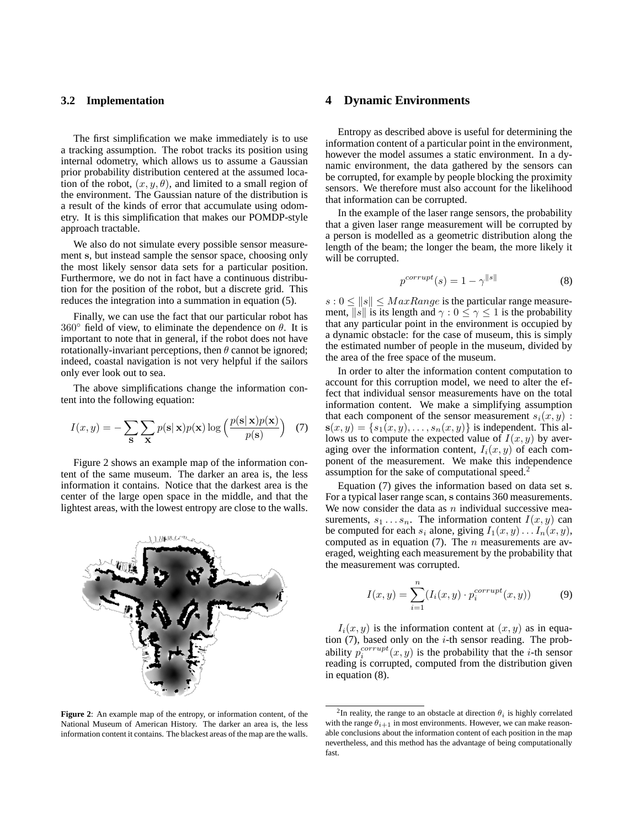# **3.2 Implementation**

The first simplification we make immediately is to use a tracking assumption. The robot tracks its position using internal odometry, which allows us to assume a Gaussian prior probability distribution centered at the assumed location of the robot,  $(x, y, \theta)$ , and limited to a small region of the environment. The Gaussian nature of the distribution is a result of the kinds of error that accumulate using odometry. It is this simplification that makes our POMDP-style approach tractable.

We also do not simulate every possible sensor measurement s, but instead sample the sensor space, choosing only the most likely sensor data sets for a particular position. Furthermore, we do not in fact have a continuous distribution for the position of the robot, but a discrete grid. This reduces the integration into a summation in equation (5).

Finally, we can use the fact that our particular robot has  $360^\circ$  field of view, to eliminate the dependence on  $\theta$ . It is important to note that in general, if the robot does not have rotationally-invariant perceptions, then  $\theta$  cannot be ignored; indeed, coastal navigation is not very helpful if the sailors only ever look out to sea.

The above simplifications change the information content into the following equation:

$$
I(x,y) = -\sum_{\mathbf{S}} \sum_{\mathbf{X}} p(\mathbf{s}|\mathbf{x}) p(\mathbf{x}) \log \left( \frac{p(\mathbf{s}|\mathbf{x}) p(\mathbf{x})}{p(\mathbf{s})} \right) \tag{7}
$$

Figure 2 shows an example map of the information content of the same museum. The darker an area is, the less information it contains. Notice that the darkest area is the center of the large open space in the middle, and that the lightest areas, with the lowest entropy are close to the walls.



**Figure 2**: An example map of the entropy, or information content, of the National Museum of American History. The darker an area is, the less information content it contains. The blackest areas of the map are the walls.

# **4 Dynamic Environments**

Entropy as described above is useful for determining the information content of a particular point in the environment, however the model assumes a static environment. In a dynamic environment, the data gathered by the sensors can be corrupted, for example by people blocking the proximity sensors. We therefore must also account for the likelihood that information can be corrupted.

In the example of the laser range sensors, the probability that a given laser range measurement will be corrupted by a person is modelled as a geometric distribution along the length of the beam; the longer the beam, the more likely it will be corrupted.

$$
p^{corrupt}(s) = 1 - \gamma^{\|s\|} \tag{8}
$$

 $s: 0 \leq ||s|| \leq MaxRange$  is the particular range measurement, ||s|| is its length and  $\gamma : 0 \le \gamma \le 1$  is the probability that any particular point in the environment is occupied by a dynamic obstacle: for the case of museum, this is simply the estimated number of people in the museum, divided by the area of the free space of the museum.

In order to alter the information content computation to account for this corruption model, we need to alter the effect that individual sensor measurements have on the total information content. We make a simplifying assumption that each component of the sensor measurement  $s_i(x, y)$ :  $s(x, y) = \{s_1(x, y), \ldots, s_n(x, y)\}\$ is independent. This allows us to compute the expected value of  $I(x, y)$  by averaging over the information content,  $I_i(x, y)$  of each component of the measurement. We make this independence assumption for the sake of computational speed.<sup>2</sup>

Equation (7) gives the information based on data set s. For a typical laser range scan, s contains 360 measurements. We now consider the data as  $n$  individual successive measurements,  $s_1 \ldots s_n$ . The information content  $I(x, y)$  can be computed for each  $s_i$  alone, giving  $I_1(x, y) \dots I_n(x, y)$ , computed as in equation  $(7)$ . The *n* measurements are averaged, weighting each measurement by the probability that the measurement was corrupted.

$$
I(x,y) = \sum_{i=1}^{n} (I_i(x,y) \cdot p_i^{corrupt}(x,y))
$$
 (9)

 $I_i(x, y)$  is the information content at  $(x, y)$  as in equation  $(7)$ , based only on the *i*-th sensor reading. The probability  $p_i^{corrupt}(x, y)$  is the probability that the *i*-th sensor reading is corrupted, computed from the distribution given in equation (8).

<sup>&</sup>lt;sup>2</sup>In reality, the range to an obstacle at direction  $\theta_i$  is highly correlated with the range  $\theta_{i+1}$  in most environments. However, we can make reasonable conclusions about the information content of each position in the map nevertheless, and this method has the advantage of being computationally fast.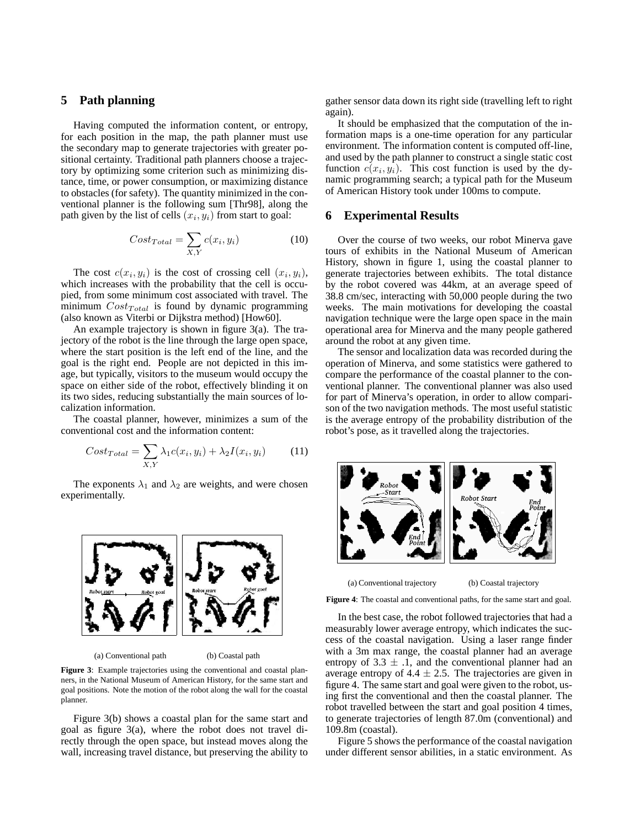# **5 Path planning**

Having computed the information content, or entropy, for each position in the map, the path planner must use the secondary map to generate trajectories with greater positional certainty. Traditional path planners choose a trajectory by optimizing some criterion such as minimizing distance, time, or power consumption, or maximizing distance to obstacles (for safety). The quantity minimized in the conventional planner is the following sum [Thr98], along the path given by the list of cells  $(x_i, y_i)$  from start to goal:

$$
Cost_{Total} = \sum_{X,Y} c(x_i, y_i)
$$
 (10)

The cost  $c(x_i, y_i)$  is the cost of crossing cell  $(x_i, y_i)$ , which increases with the probability that the cell is occupied, from some minimum cost associated with travel. The minimum  $Cost_{Total}$  is found by dynamic programming (also known as Viterbi or Dijkstra method) [How60].

An example trajectory is shown in figure 3(a). The trajectory of the robot is the line through the large open space, where the start position is the left end of the line, and the goal is the right end. People are not depicted in this image, but typically, visitors to the museum would occupy the space on either side of the robot, effectively blinding it on its two sides, reducing substantially the main sources of localization information.

The coastal planner, however, minimizes a sum of the conventional cost and the information content:

$$
Cost_{Total} = \sum_{X,Y} \lambda_1 c(x_i, y_i) + \lambda_2 I(x_i, y_i)
$$
 (11)

The exponents  $\lambda_1$  and  $\lambda_2$  are weights, and were chosen experimentally.



(a) Conventional path (b) Coastal path

**Figure 3**: Example trajectories using the conventional and coastal planners, in the National Museum of American History, for the same start and goal positions. Note the motion of the robot along the wall for the coastal planner.

Figure 3(b) shows a coastal plan for the same start and goal as figure 3(a), where the robot does not travel directly through the open space, but instead moves along the wall, increasing travel distance, but preserving the ability to

gather sensor data down its right side (travelling left to right again).

It should be emphasized that the computation of the information maps is a one-time operation for any particular environment. The information content is computed off-line, and used by the path planner to construct a single static cost function  $c(x_i, y_i)$ . This cost function is used by the dynamic programming search; a typical path for the Museum of American History took under 100ms to compute.

#### **6 Experimental Results**

Over the course of two weeks, our robot Minerva gave tours of exhibits in the National Museum of American History, shown in figure 1, using the coastal planner to generate trajectories between exhibits. The total distance by the robot covered was 44km, at an average speed of 38.8 cm/sec, interacting with 50,000 people during the two weeks. The main motivations for developing the coastal navigation technique were the large open space in the main operational area for Minerva and the many people gathered around the robot at any given time.

The sensor and localization data was recorded during the operation of Minerva, and some statistics were gathered to compare the performance of the coastal planner to the conventional planner. The conventional planner was also used for part of Minerva's operation, in order to allow comparison of the two navigation methods. The most useful statistic is the average entropy of the probability distribution of the robot's pose, as it travelled along the trajectories.



(a) Conventional trajectory (b) Coastal trajectory

**Figure 4**: The coastal and conventional paths, for the same start and goal.

In the best case, the robot followed trajectories that had a measurably lower average entropy, which indicates the success of the coastal navigation. Using a laser range finder with a 3m max range, the coastal planner had an average entropy of  $3.3 \pm .1$ , and the conventional planner had an average entropy of  $4.4 \pm 2.5$ . The trajectories are given in figure 4. The same start and goal were given to the robot, using first the conventional and then the coastal planner. The robot travelled between the start and goal position 4 times, to generate trajectories of length 87.0m (conventional) and 109.8m (coastal).

Figure 5 shows the performance of the coastal navigation under different sensor abilities, in a static environment. As